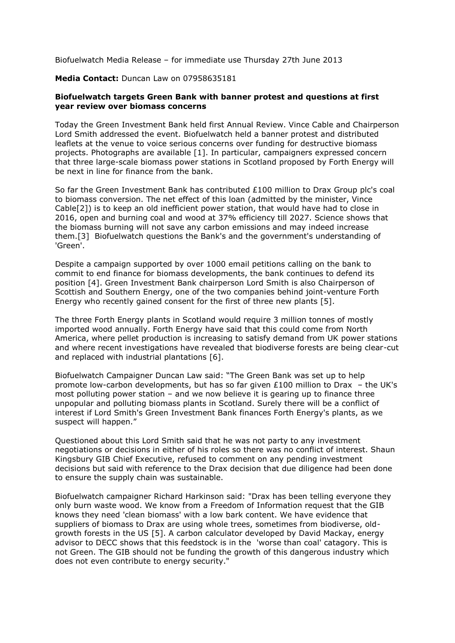Biofuelwatch Media Release – for immediate use Thursday 27th June 2013

## **Media Contact:** Duncan Law on 07958635181

## **Biofuelwatch targets Green Bank with banner protest and questions at first year review over biomass concerns**

Today the Green Investment Bank held first Annual Review. Vince Cable and Chairperson Lord Smith addressed the event. Biofuelwatch held a banner protest and distributed leaflets at the venue to voice serious concerns over funding for destructive biomass projects. Photographs are available [1]. In particular, campaigners expressed concern that three large-scale biomass power stations in Scotland proposed by Forth Energy will be next in line for finance from the bank.

So far the Green Investment Bank has contributed £100 million to Drax Group plc's coal to biomass conversion. The net effect of this loan (admitted by the minister, Vince Cable[2]) is to keep an old inefficient power station, that would have had to close in 2016, open and burning coal and wood at 37% efficiency till 2027. Science shows that the biomass burning will not save any carbon emissions and may indeed increase them.[3] Biofuelwatch questions the Bank's and the government's understanding of 'Green'.

Despite a campaign supported by over 1000 email petitions calling on the bank to commit to end finance for biomass developments, the bank continues to defend its position [4]. Green Investment Bank chairperson Lord Smith is also Chairperson of Scottish and Southern Energy, one of the two companies behind joint-venture Forth Energy who recently gained consent for the first of three new plants [5].

The three Forth Energy plants in Scotland would require 3 million tonnes of mostly imported wood annually. Forth Energy have said that this could come from North America, where pellet production is increasing to satisfy demand from UK power stations and where recent investigations have revealed that biodiverse forests are being clear-cut and replaced with industrial plantations [6].

Biofuelwatch Campaigner Duncan Law said: "The Green Bank was set up to help promote low-carbon developments, but has so far given £100 million to Drax – the UK's most polluting power station – and we now believe it is gearing up to finance three unpopular and polluting biomass plants in Scotland. Surely there will be a conflict of interest if Lord Smith's Green Investment Bank finances Forth Energy's plants, as we suspect will happen."

Questioned about this Lord Smith said that he was not party to any investment negotiations or decisions in either of his roles so there was no conflict of interest. Shaun Kingsbury GIB Chief Executive, refused to comment on any pending investment decisions but said with reference to the Drax decision that due diligence had been done to ensure the supply chain was sustainable.

Biofuelwatch campaigner Richard Harkinson said: "Drax has been telling everyone they only burn waste wood. We know from a Freedom of Information request that the GIB knows they need 'clean biomass' with a low bark content. We have evidence that suppliers of biomass to Drax are using whole trees, sometimes from biodiverse, oldgrowth forests in the US [5]. A carbon calculator developed by David Mackay, energy advisor to DECC shows that this feedstock is in the 'worse than coal' catagory. This is not Green. The GIB should not be funding the growth of this dangerous industry which does not even contribute to energy security."